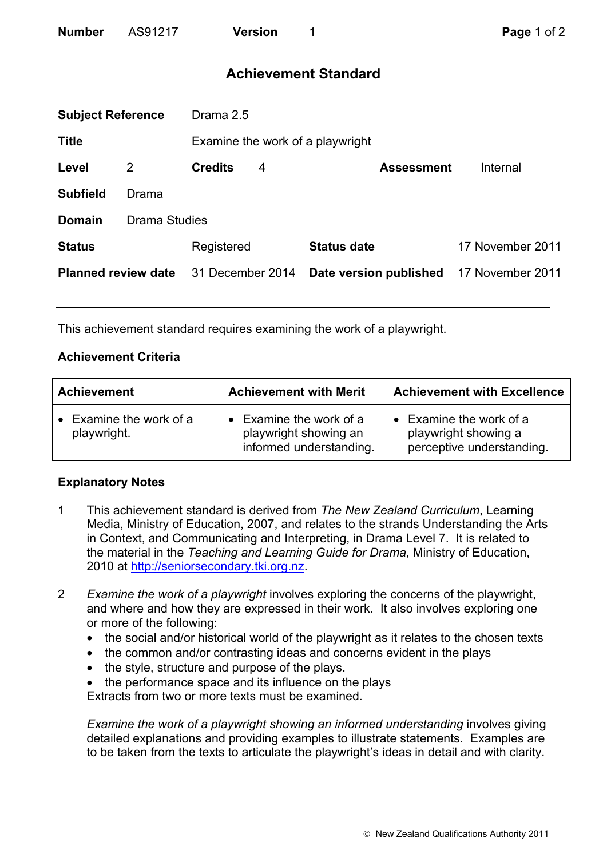| <b>Number</b> | AS91217 | <b>Version</b> |
|---------------|---------|----------------|
|               |         |                |

# **Achievement Standard**

|                            | Drama 2.5<br><b>Subject Reference</b> |                  |   |                                  |                  |
|----------------------------|---------------------------------------|------------------|---|----------------------------------|------------------|
| <b>Title</b>               |                                       |                  |   | Examine the work of a playwright |                  |
| Level                      | 2                                     | <b>Credits</b>   | 4 | <b>Assessment</b>                | Internal         |
| <b>Subfield</b>            | Drama                                 |                  |   |                                  |                  |
| <b>Domain</b>              | <b>Drama Studies</b>                  |                  |   |                                  |                  |
| <b>Status</b>              |                                       | Registered       |   | <b>Status date</b>               | 17 November 2011 |
| <b>Planned review date</b> |                                       | 31 December 2014 |   | Date version published           | 17 November 2011 |
|                            |                                       |                  |   |                                  |                  |

This achievement standard requires examining the work of a playwright.

### **Achievement Criteria**

| <b>Achievement</b>                     | <b>Achievement with Merit</b>                                                       | <b>Achievement with Excellence</b>                                         |
|----------------------------------------|-------------------------------------------------------------------------------------|----------------------------------------------------------------------------|
| • Examine the work of a<br>playwright. | $\bullet$ Examine the work of a<br>playwright showing an<br>informed understanding. | Examine the work of a<br>playwright showing a<br>perceptive understanding. |

## **Explanatory Notes**

- 1 This achievement standard is derived from *The New Zealand Curriculum*, Learning Media, Ministry of Education, 2007, and relates to the strands Understanding the Arts in Context, and Communicating and Interpreting, in Drama Level 7. It is related to the material in the *Teaching and Learning Guide for Drama*, Ministry of Education, 2010 at http://seniorsecondary.tki.org.nz.
- 2 *Examine the work of a playwright* involves exploring the concerns of the playwright, and where and how they are expressed in their work. It also involves exploring one or more of the following:
	- the social and/or historical world of the playwright as it relates to the chosen texts
	- the common and/or contrasting ideas and concerns evident in the plays
	- the style, structure and purpose of the plays.
	- the performance space and its influence on the plays

Extracts from two or more texts must be examined.

*Examine the work of a playwright showing an informed understanding involves giving* detailed explanations and providing examples to illustrate statements. Examples are to be taken from the texts to articulate the playwright's ideas in detail and with clarity.